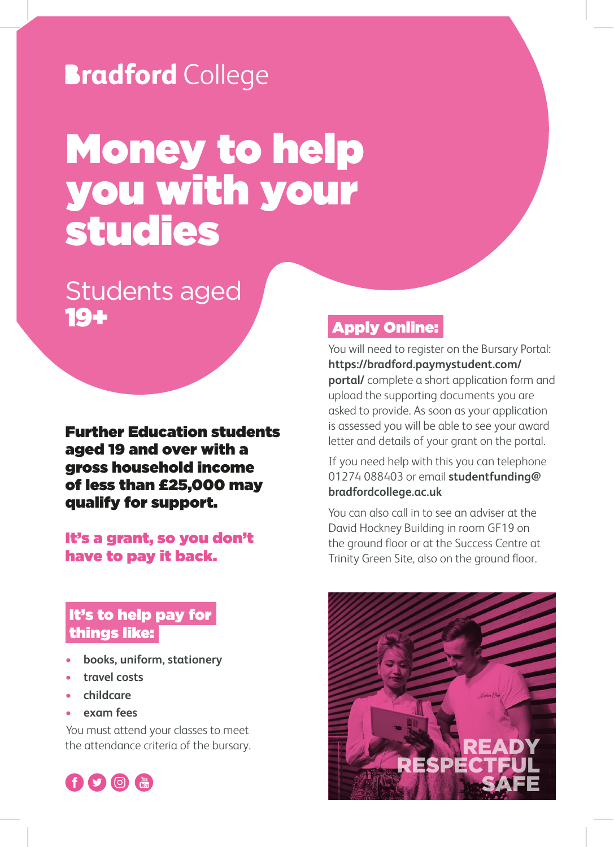## **Bradford College**

# Money to help you with your studies

### Students aged 19+

Further Education students aged 19 and over with a gross household income of less than £25,000 may qualify for support.

#### It's a grant, so you don't have to pay it back.

### It's to help pay for things like:

- **books, uniform, stationery**
- **• travel costs**
- **• childcare**
- **• exam fees**

You must attend your classes to meet the attendance criteria of the bursary.



### Apply Online:

You will need to register on the Bursary Portal: **https://bradford.paymystudent.com/ portal/** complete a short application form and upload the supporting documents you are asked to provide. As soon as your application is assessed you will be able to see your award letter and details of your grant on the portal.

If you need help with this you can telephone 01274 088403 or email **studentfunding@ bradfordcollege.ac.uk**

You can also call in to see an adviser at the David Hockney Building in room GF19 on the ground floor or at the Success Centre at Trinity Green Site, also on the ground floor.